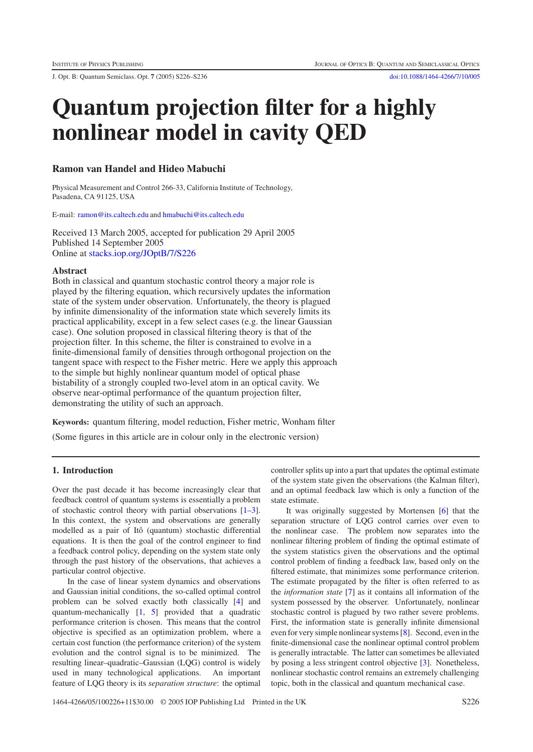J. Opt. B: Quantum Semiclass. Opt. **7** (2005) S226–S236 [doi:10.1088/1464-4266/7/10/005](http://dx.doi.org/10.1088/1464-4266/7/10/005)

# **Quantum projection filter for a highly nonlinear model in cavity QED**

# **Ramon van Handel and Hideo Mabuchi**

Physical Measurement and Control 266-33, California Institute of Technology, Pasadena, CA 91125, USA

E-mail: [ramon@its.caltech.edu](mailto:ramon@its.caltech.edu) and [hmabuchi@its.caltech.edu](mailto:hmabuchi@its.caltech.edu)

Received 13 March 2005, accepted for publication 29 April 2005 Published 14 September 2005 Online at [stacks.iop.org/JOptB/7/S226](http://stacks.iop.org/JOptB/7/S226)

## **Abstract**

Both in classical and quantum stochastic control theory a major role is played by the filtering equation, which recursively updates the information state of the system under observation. Unfortunately, the theory is plagued by infinite dimensionality of the information state which severely limits its practical applicability, except in a few select cases (e.g. the linear Gaussian case). One solution proposed in classical filtering theory is that of the projection filter. In this scheme, the filter is constrained to evolve in a finite-dimensional family of densities through orthogonal projection on the tangent space with respect to the Fisher metric. Here we apply this approach to the simple but highly nonlinear quantum model of optical phase bistability of a strongly coupled two-level atom in an optical cavity. We observe near-optimal performance of the quantum projection filter, demonstrating the utility of such an approach.

**Keywords:** quantum filtering, model reduction, Fisher metric, Wonham filter

(Some figures in this article are in colour only in the electronic version)

# **1. Introduction**

Over the past decade it has become increasingly clear that feedback control of quantum systems is essentially a problem of stochastic control theory with partial observations [\[1–3\]](#page-9-0). In this context, the system and observations are generally modelled as a pair of Itô (quantum) stochastic differential equations. It is then the goal of the control engineer to find a feedback control policy, depending on the system state only through the past history of the observations, that achieves a particular control objective.

In the case of linear system dynamics and observations and Gaussian initial conditions, the so-called optimal control problem can be solved exactly both classically [\[4\]](#page-9-1) and quantum-mechanically [\[1,](#page-9-0) [5\]](#page-9-2) provided that a quadratic performance criterion is chosen. This means that the control objective is specified as an optimization problem, where a certain cost function (the performance criterion) of the system evolution and the control signal is to be minimized. The resulting linear–quadratic–Gaussian (LQG) control is widely used in many technological applications. An important feature of LQG theory is its *separation structure*: the optimal

controller splits up into a part that updates the optimal estimate of the system state given the observations (the Kalman filter), and an optimal feedback law which is only a function of the state estimate.

It was originally suggested by Mortensen [\[6\]](#page-9-3) that the separation structure of LQG control carries over even to the nonlinear case. The problem now separates into the nonlinear filtering problem of finding the optimal estimate of the system statistics given the observations and the optimal control problem of finding a feedback law, based only on the filtered estimate, that minimizes some performance criterion. The estimate propagated by the filter is often referred to as the *information state* [\[7\]](#page-9-4) as it contains all information of the system possessed by the observer. Unfortunately, nonlinear stochastic control is plagued by two rather severe problems. First, the information state is generally infinite dimensional even for very simple nonlinear systems [\[8\]](#page-9-5). Second, even in the finite-dimensional case the nonlinear optimal control problem is generally intractable. The latter can sometimes be alleviated by posing a less stringent control objective [\[3\]](#page-9-6). Nonetheless, nonlinear stochastic control remains an extremely challenging topic, both in the classical and quantum mechanical case.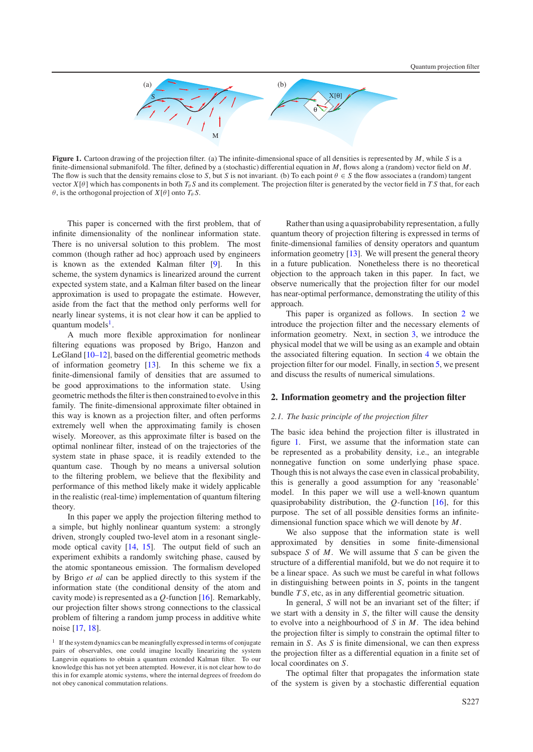

<span id="page-1-2"></span>**Figure 1.** Cartoon drawing of the projection filter. (a) The infinite-dimensional space of all densities is represented by *M*, while *S* is a finite-dimensional submanifold. The filter, defined by a (stochastic) differential equation in *M*, flows along a (random) vector field on *M*. The flow is such that the density remains close to *S*, but *S* is not invariant. (b) To each point  $\theta \in S$  the flow associates a (random) tangent vector  $X[\theta]$  which has components in both  $T_{\theta}S$  and its complement. The projection filter is generated by the vector field in *T S* that, for each  $\theta$ , is the orthogonal projection of  $X[\theta]$  onto  $T_{\theta}S$ .

This paper is concerned with the first problem, that of infinite dimensionality of the nonlinear information state. There is no universal solution to this problem. The most common (though rather ad hoc) approach used by engineers is known as the extended Kalman filter [\[9\]](#page-9-7). In this scheme, the system dynamics is linearized around the current expected system state, and a Kalman filter based on the linear approximation is used to propagate the estimate. However, aside from the fact that the method only performs well for nearly linear systems, it is not clear how it can be applied to quantum models $<sup>1</sup>$  $<sup>1</sup>$  $<sup>1</sup>$ .</sup>

A much more flexible approximation for nonlinear filtering equations was proposed by Brigo, Hanzon and LeGland [\[10–12\]](#page-9-8), based on the differential geometric methods of information geometry [\[13\]](#page-10-0). In this scheme we fix a finite-dimensional family of densities that are assumed to be good approximations to the information state. Using geometric methods the filter is then constrained to evolve in this family. The finite-dimensional approximate filter obtained in this way is known as a projection filter, and often performs extremely well when the approximating family is chosen wisely. Moreover, as this approximate filter is based on the optimal nonlinear filter, instead of on the trajectories of the system state in phase space, it is readily extended to the quantum case. Though by no means a universal solution to the filtering problem, we believe that the flexibility and performance of this method likely make it widely applicable in the realistic (real-time) implementation of quantum filtering theory.

In this paper we apply the projection filtering method to a simple, but highly nonlinear quantum system: a strongly driven, strongly coupled two-level atom in a resonant singlemode optical cavity [\[14,](#page-10-1) [15\]](#page-10-2). The output field of such an experiment exhibits a randomly switching phase, caused by the atomic spontaneous emission. The formalism developed by Brigo *et al* can be applied directly to this system if the information state (the conditional density of the atom and cavity mode) is represented as a *Q*-function [\[16\]](#page-10-3). Remarkably, our projection filter shows strong connections to the classical problem of filtering a random jump process in additive white noise [\[17,](#page-10-4) [18\]](#page-10-5).

Rather than using a quasiprobability representation, a fully quantum theory of projection filtering is expressed in terms of finite-dimensional families of density operators and quantum information geometry [\[13\]](#page-10-0). We will present the general theory in a future publication. Nonetheless there is no theoretical objection to the approach taken in this paper. In fact, we observe numerically that the projection filter for our model has near-optimal performance, demonstrating the utility of this approach.

<span id="page-1-1"></span>This paper is organized as follows. In section [2](#page-1-1) we introduce the projection filter and the necessary elements of information geometry. Next, in section [3,](#page-3-0) we introduce the physical model that we will be using as an example and obtain the associated filtering equation. In section [4](#page-6-0) we obtain the projection filter for our model. Finally, in section [5,](#page-8-0) we present and discuss the results of numerical simulations.

## **2. Information geometry and the projection filter**

## *2.1. The basic principle of the projection filter*

The basic idea behind the projection filter is illustrated in figure [1.](#page-1-2) First, we assume that the information state can be represented as a probability density, i.e., an integrable nonnegative function on some underlying phase space. Though this is not always the case even in classical probability, this is generally a good assumption for any 'reasonable' model. In this paper we will use a well-known quantum quasiprobability distribution, the *Q*-function [\[16\]](#page-10-3), for this purpose. The set of all possible densities forms an infinitedimensional function space which we will denote by *M*.

We also suppose that the information state is well approximated by densities in some finite-dimensional subspace *S* of *M*. We will assume that *S* can be given the structure of a differential manifold, but we do not require it to be a linear space. As such we must be careful in what follows in distinguishing between points in *S*, points in the tangent bundle *T S*, etc, as in any differential geometric situation.

In general, *S* will not be an invariant set of the filter; if we start with a density in *S*, the filter will cause the density to evolve into a neighbourhood of *S* in *M*. The idea behind the projection filter is simply to constrain the optimal filter to remain in *S*. As *S* is finite dimensional, we can then express the projection filter as a differential equation in a finite set of local coordinates on *S*.

The optimal filter that propagates the information state of the system is given by a stochastic differential equation

<span id="page-1-0"></span><sup>&</sup>lt;sup>1</sup> If the system dynamics can be meaningfully expressed in terms of conjugate pairs of observables, one could imagine locally linearizing the system Langevin equations to obtain a quantum extended Kalman filter. To our knowledge this has not yet been attempted. However, it is not clear how to do this in for example atomic systems, where the internal degrees of freedom do not obey canonical commutation relations.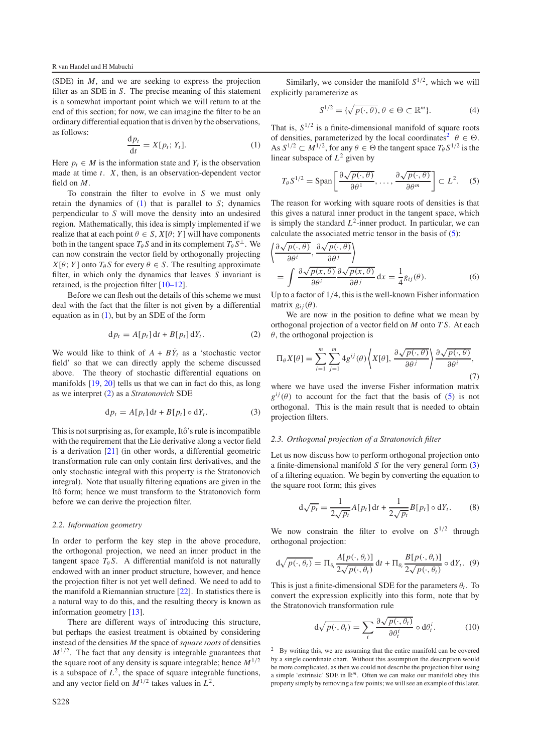<span id="page-2-0"></span>(SDE) in *M*, and we are seeking to express the projection filter as an SDE in *S*. The precise meaning of this statement is a somewhat important point which we will return to at the end of this section; for now, we can imagine the filter to be an ordinary differential equation that is driven by the observations, as follows:

$$
\frac{\mathrm{d}p_t}{\mathrm{d}t} = X[p_t; Y_t].\tag{1}
$$

Here  $p_t \in M$  is the information state and  $Y_t$  is the observation made at time *t*. *X*, then, is an observation-dependent vector field on *M*.

To constrain the filter to evolve in *S* we must only retain the dynamics of [\(1\)](#page-2-0) that is parallel to *S*; dynamics perpendicular to *S* will move the density into an undesired region. Mathematically, this idea is simply implemented if we realize that at each point  $\theta \in S$ ,  $X[\theta; Y]$  will have components both in the tangent space  $T_{\theta} S$  and in its complement  $T_{\theta} S^{\perp}$ . We can now constrain the vector field by orthogonally projecting  $X[\theta; Y]$  onto  $T_{\theta} S$  for every  $\theta \in S$ . The resulting approximate filter, in which only the dynamics that leaves *S* invariant is retained, is the projection filter [\[10–12\]](#page-9-8).

<span id="page-2-1"></span>Before we can flesh out the details of this scheme we must deal with the fact that the filter is not given by a differential equation as in  $(1)$ , but by an SDE of the form

$$
\mathrm{d}p_t = A[p_t] \, \mathrm{d}t + B[p_t] \, \mathrm{d}Y_t. \tag{2}
$$

<span id="page-2-4"></span>We would like to think of  $A + B\dot{Y}_t$  as a 'stochastic vector field' so that we can directly apply the scheme discussed above. The theory of stochastic differential equations on manifolds [\[19,](#page-10-6) [20\]](#page-10-7) tells us that we can in fact do this, as long as we interpret [\(2\)](#page-2-1) as a *Stratonovich* SDE

$$
\mathrm{d}p_t = A[p_t] \, \mathrm{d}t + B[p_t] \circ \mathrm{d}Y_t. \tag{3}
$$

This is not surprising as, for example, Itô's rule is incompatible with the requirement that the Lie derivative along a vector field is a derivation [\[21\]](#page-10-8) (in other words, a differential geometric transformation rule can only contain first derivatives, and the only stochastic integral with this property is the Stratonovich integral). Note that usually filtering equations are given in the Itô form; hence we must transform to the Stratonovich form before we can derive the projection filter.

## *2.2. Information geometry*

In order to perform the key step in the above procedure, the orthogonal projection, we need an inner product in the tangent space  $T_{\theta} S$ . A differential manifold is not naturally endowed with an inner product structure, however, and hence the projection filter is not yet well defined. We need to add to the manifold a Riemannian structure [\[22\]](#page-10-9). In statistics there is a natural way to do this, and the resulting theory is known as information geometry [\[13\]](#page-10-0).

There are different ways of introducing this structure, but perhaps the easiest treatment is obtained by considering instead of the densities *M* the space of*square roots* of densities  $M^{1/2}$ . The fact that any density is integrable guarantees that the square root of any density is square integrable; hence  $M^{1/2}$ is a subspace of  $L^2$ , the space of square integrable functions, and any vector field on  $M^{1/2}$  takes values in  $L^2$ .

Similarly, we consider the manifold  $S^{1/2}$ , which we will explicitly parameterize as

$$
S^{1/2} = \{ \sqrt{p(\cdot, \theta)}, \theta \in \Theta \subset \mathbb{R}^m \}. \tag{4}
$$

<span id="page-2-3"></span>That is,  $S^{1/2}$  is a finite-dimensional manifold of square roots of densities, parameterized by the local coordinates<sup>2</sup>  $\theta \in \Theta$ . As  $S^{1/2} \subset M^{1/2}$ , for any  $\theta \in \Theta$  the tangent space  $T_{\theta} S^{1/2}$  is the linear subspace of *L*<sup>2</sup> given by

<span id="page-2-7"></span>
$$
T_{\theta}S^{1/2} = \text{Span}\left[\frac{\partial\sqrt{p(\cdot,\theta)}}{\partial\theta^1},\ldots,\frac{\partial\sqrt{p(\cdot,\theta)}}{\partial\theta^m}\right] \subset L^2.
$$
 (5)

The reason for working with square roots of densities is that this gives a natural inner product in the tangent space, which is simply the standard  $L^2$ -inner product. In particular, we can calculate the associated metric tensor in the basis of [\(5\)](#page-2-3):

$$
\left\langle \frac{\partial \sqrt{p(\cdot,\theta)}}{\partial \theta^{i}}, \frac{\partial \sqrt{p(\cdot,\theta)}}{\partial \theta^{j}} \right\rangle
$$
  
= 
$$
\int \frac{\partial \sqrt{p(x,\theta)}}{\partial \theta^{i}} \frac{\partial \sqrt{p(x,\theta)}}{\partial \theta^{j}} dx = \frac{1}{4} g_{ij}(\theta).
$$
 (6)

<span id="page-2-5"></span>Up to a factor of 1/4, this is the well-known Fisher information matrix  $g_{ii}(\theta)$ .

We are now in the position to define what we mean by orthogonal projection of a vector field on *M* onto *T S*. At each  $\theta$ , the orthogonal projection is

$$
\Pi_{\theta} X[\theta] = \sum_{i=1}^{m} \sum_{j=1}^{m} 4g^{ij}(\theta) \left\langle X[\theta], \frac{\partial \sqrt{p(\cdot, \theta)}}{\partial \theta^{j}} \right\rangle \frac{\partial \sqrt{p(\cdot, \theta)}}{\partial \theta^{i}},
$$
\n(7)

where we have used the inverse Fisher information matrix  $g^{ij}(\theta)$  to account for the fact that the basis of [\(5\)](#page-2-3) is not orthogonal. This is the main result that is needed to obtain projection filters.

## *2.3. Orthogonal projection of a Stratonovich filter*

Let us now discuss how to perform orthogonal projection onto a finite-dimensional manifold *S* for the very general form [\(3\)](#page-2-4) of a filtering equation. We begin by converting the equation to the square root form; this gives

$$
\mathrm{d}\sqrt{p_t} = \frac{1}{2\sqrt{p_t}} A[p_t] \,\mathrm{d}t + \frac{1}{2\sqrt{p_t}} B[p_t] \circ \mathrm{d}Y_t. \tag{8}
$$

<span id="page-2-6"></span>We now constrain the filter to evolve on  $S^{1/2}$  through orthogonal projection:

$$
d\sqrt{p(\cdot,\theta_t)} = \Pi_{\theta_t} \frac{A[p(\cdot,\theta_t)]}{2\sqrt{p(\cdot,\theta_t)}} dt + \Pi_{\theta_t} \frac{B[p(\cdot,\theta_t)]}{2\sqrt{p(\cdot,\theta_t)}} \circ dY_t. (9)
$$

<span id="page-2-2"></span>This is just a finite-dimensional SDE for the parameters  $\theta_t$ . To convert the expression explicitly into this form, note that by the Stratonovich transformation rule

$$
d\sqrt{p(\cdot,\theta_t)} = \sum_i \frac{\partial \sqrt{p(\cdot,\theta_t)}}{\partial \theta_t^i} \circ d\theta_t^i.
$$
 (10)

By writing this, we are assuming that the entire manifold can be covered by a single coordinate chart. Without this assumption the description would be more complicated, as then we could not describe the projection filter using a simple 'extrinsic' SDE in R*m*. Often we can make our manifold obey this property simply by removing a few points; we will see an example of this later.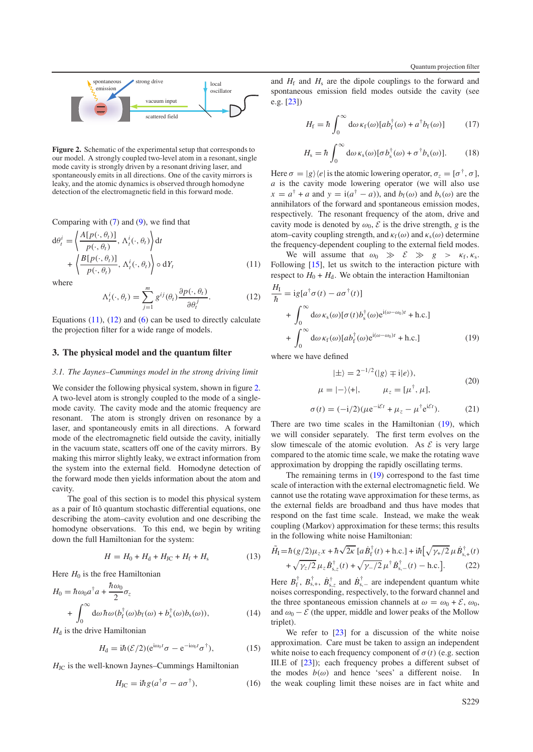<span id="page-3-3"></span>

**Figure 2.** Schematic of the experimental setup that corresponds to our model. A strongly coupled two-level atom in a resonant, single mode cavity is strongly driven by a resonant driving laser, and spontaneously emits in all directions. One of the cavity mirrors is leaky, and the atomic dynamics is observed through homodyne detection of the electromagnetic field in this forward mode.

<span id="page-3-1"></span>Comparing with  $(7)$  and  $(9)$ , we find that

<span id="page-3-2"></span>
$$
d\theta_t^i = \left\langle \frac{A[p(\cdot, \theta_t)]}{p(\cdot, \theta_t)}, \Lambda_t^i(\cdot, \theta_t) \right\rangle dt + \left\langle \frac{B[p(\cdot, \theta_t)]}{p(\cdot, \theta_t)}, \Lambda_t^i(\cdot, \theta_t) \right\rangle \circ dY_t
$$
(11)

<span id="page-3-0"></span>where

$$
\Lambda_t^i(\cdot,\theta_t) = \sum_{j=1}^m g^{ij}(\theta_t) \frac{\partial p(\cdot,\theta_t)}{\partial \theta_t^j}.
$$
 (12)

<span id="page-3-6"></span>Equations  $(11)$ ,  $(12)$  and  $(6)$  can be used to directly calculate the projection filter for a wide range of models.

## **3. The physical model and the quantum filter**

## *3.1. The Jaynes–Cummings model in the strong driving limit*

We consider the following physical system, shown in figure [2.](#page-3-3) A two-level atom is strongly coupled to the mode of a singlemode cavity. The cavity mode and the atomic frequency are resonant. The atom is strongly driven on resonance by a laser, and spontaneously emits in all directions. A forward mode of the electromagnetic field outside the cavity, initially in the vacuum state, scatters off one of the cavity mirrors. By making this mirror slightly leaky, we extract information from the system into the external field. Homodyne detection of the forward mode then yields information about the atom and cavity.

The goal of this section is to model this physical system as a pair of Itô quantum stochastic differential equations, one describing the atom–cavity evolution and one describing the homodyne observations. To this end, we begin by writing down the full Hamiltonian for the system:

$$
H = H_0 + H_d + H_{\text{JC}} + H_{\text{f}} + H_{\text{s}} \tag{13}
$$

Here  $H_0$  is the free Hamiltonian

$$
H_0 = \hbar \omega_0 a^{\dagger} a + \frac{\hbar \omega_0}{2} \sigma_z
$$
  
+ 
$$
\int_0^{\infty} d\omega \hbar \omega (b_f^{\dagger}(\omega) b_f(\omega) + b_s^{\dagger}(\omega) b_s(\omega)),
$$
 (14)

 $H_d$  is the drive Hamiltonian

$$
H_{\rm d} = i\hbar (\mathcal{E}/2) (e^{i\omega_0 t} \sigma - e^{-i\omega_0 t} \sigma^{\dagger}), \qquad (15)
$$

 $H_{\text{JC}}$  is the well-known Jaynes–Cummings Hamiltonian

$$
H_{\rm JC} = i\hbar g (a^\dagger \sigma - a\sigma^\dagger),\tag{16}
$$

and  $H_f$  and  $H_s$  are the dipole couplings to the forward and spontaneous emission field modes outside the cavity (see e.g. [\[23\]](#page-10-10))

$$
H_{\rm f} = \hbar \int_0^\infty \mathrm{d}\omega \,\kappa_{\rm f}(\omega) \left[ a b_{\rm f}^\dagger(\omega) + a^\dagger b_{\rm f}(\omega) \right] \tag{17}
$$

$$
H_{\rm s} = \hbar \int_0^\infty \mathrm{d}\omega \,\kappa_{\rm s}(\omega) [\sigma b_{\rm s}^\dagger(\omega) + \sigma^\dagger b_{\rm s}(\omega)]. \tag{18}
$$

Here  $\sigma = |g\rangle\langle e|$  is the atomic lowering operator,  $\sigma_z = [\sigma^{\dagger}, \sigma]$ , *a* is the cavity mode lowering operator (we will also use  $x = a^{\dagger} + a$  and  $y = i(a^{\dagger} - a)$ , and  $b_f(\omega)$  and  $b_s(\omega)$  are the annihilators of the forward and spontaneous emission modes, respectively. The resonant frequency of the atom, drive and cavity mode is denoted by  $\omega_0$ ,  $\mathcal E$  is the drive strength, g is the atom–cavity coupling strength, and  $\kappa_f(\omega)$  and  $\kappa_s(\omega)$  determine the frequency-dependent coupling to the external field modes.

We will assume that  $\omega_0 \gg \mathcal{E} \gg g > \kappa_f, \kappa_s$ . Following [\[15\]](#page-10-2), let us switch to the interaction picture with respect to  $H_0 + H_d$ . We obtain the interaction Hamiltonian

<span id="page-3-4"></span>
$$
\frac{H_{\rm I}}{\hbar} = ig[a^{\dagger} \sigma(t) - a\sigma^{\dagger}(t)] \n+ \int_0^{\infty} d\omega \kappa_{\rm s}(\omega) [\sigma(t) b_{\rm s}^{\dagger}(\omega) e^{i(\omega - \omega_0)t} + \text{h.c.}] \n+ \int_0^{\infty} d\omega \kappa_{\rm f}(\omega) [a b_{\rm f}^{\dagger}(\omega) e^{i(\omega - \omega_0)t} + \text{h.c.}]
$$
\n(19)

where we have defined

$$
|\pm\rangle = 2^{-1/2} (|g\rangle \mp i|e\rangle),
$$
  

$$
\mu = |-\rangle\langle +|, \qquad \mu_z = [\mu^\dagger, \mu],
$$
 (20)

$$
\sigma(t) = (-i/2)(\mu e^{-i\mathcal{E}t} + \mu_z - \mu^{\dagger} e^{i\mathcal{E}t}).
$$
 (21)

There are two time scales in the Hamiltonian [\(19\)](#page-3-4), which we will consider separately. The first term evolves on the slow timescale of the atomic evolution. As  $\mathcal{E}$  is very large compared to the atomic time scale, we make the rotating wave approximation by dropping the rapidly oscillating terms.

<span id="page-3-5"></span>The remaining terms in [\(19\)](#page-3-4) correspond to the fast time scale of interaction with the external electromagnetic field. We cannot use the rotating wave approximation for these terms, as the external fields are broadband and thus have modes that respond on the fast time scale. Instead, we make the weak coupling (Markov) approximation for these terms; this results in the following white noise Hamiltonian:

$$
\tilde{H}_{\rm I} = \hbar (g/2) \mu_z x + \hbar \sqrt{2\kappa} \left[ a \dot{B}_{\rm f}^{\dagger}(t) + \text{h.c.} \right] + i \hbar \left[ \sqrt{\gamma_+ / 2} \mu \dot{B}_{\rm s,+}^{\dagger}(t) + \sqrt{\gamma_+ / 2} \mu_z \dot{B}_{\rm s,z}^{\dagger}(t) + \sqrt{\gamma_- / 2} \mu_z^{\dagger} \dot{B}_{\rm s,-}^{\dagger}(t) - \text{h.c.} \right]. \tag{22}
$$

Here  $B_{\rm f}^{\dagger}$ ,  $B_{\rm s,+}^{\dagger}$ ,  $\dot{B}_{\rm s,z}^{\dagger}$  and  $\dot{B}_{\rm s,-}^{\dagger}$  are independent quantum white noises corresponding, respectively, to the forward channel and the three spontaneous emission channels at  $\omega = \omega_0 + \mathcal{E}, \omega_0$ , and  $\omega_0 - \mathcal{E}$  (the upper, middle and lower peaks of the Mollow triplet).

We refer to [\[23\]](#page-10-10) for a discussion of the white noise approximation. Care must be taken to assign an independent white noise to each frequency component of  $\sigma(t)$  (e.g. section III.E of [\[23\]](#page-10-10)); each frequency probes a different subset of the modes  $b(\omega)$  and hence 'sees' a different noise. In the weak coupling limit these noises are in fact white and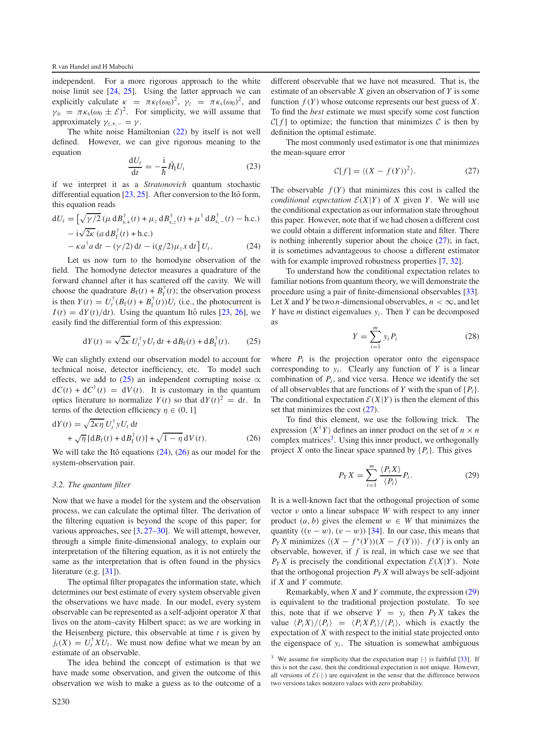independent. For a more rigorous approach to the white noise limit see [\[24,](#page-10-11) [25\]](#page-10-12). Using the latter approach we can explicitly calculate  $\kappa = \pi \kappa_f(\omega_0)^2$ ,  $\gamma_z = \pi \kappa_s(\omega_0)^2$ , and  $\gamma_{\pm} = \pi \kappa_{s} (\omega_{0} \pm \mathcal{E})^{2}$ . For simplicity, we will assume that approximately  $\gamma_{z,+,-} = \gamma$ .

The white noise Hamiltonian [\(22\)](#page-3-5) by itself is not well defined. However, we can give rigorous meaning to the equation

<span id="page-4-1"></span>
$$
\frac{\mathrm{d}U_t}{\mathrm{d}t} = -\frac{\mathrm{i}}{\hbar} \tilde{H}_1 U_t \tag{23}
$$

if we interpret it as a *Stratonovich* quantum stochastic differential equation  $[23, 25]$  $[23, 25]$  $[23, 25]$ . After conversion to the Itô form, this equation reads

$$
dU_t = \left[\sqrt{\gamma/2} \left(\mu \, dB_{s,+}^{\dagger}(t) + \mu_z \, dB_{s,z}^{\dagger}(t) + \mu^{\dagger} \, dB_{s,-}^{\dagger}(t) - \text{h.c.}\right) \right. \\
\left. - i\sqrt{2\kappa} \left(a \, dB_{f}^{\dagger}(t) + \text{h.c.}\right) \\
\left. - \kappa a^{\dagger} a \, dt - \left(\gamma/2\right) dt - i(g/2)\mu_z x \, dt\right] U_t. \tag{24}
$$

<span id="page-4-0"></span>Let us now turn to the homodyne observation of the field. The homodyne detector measures a quadrature of the forward channel after it has scattered off the cavity. We will choose the quadrature  $B_f(t) + B_f^{\dagger}(t)$ ; the observation process is then  $Y(t) = U_t^{\dagger} (B_f(t) + B_f^{\dagger}(t)) U_t$  (i.e., the photocurrent is  $I(t) = dY(t)/dt$ . Using the quantum Itô rules [[23,](#page-10-10) [26\]](#page-10-13), we easily find the differential form of this expression:

<span id="page-4-2"></span>
$$
dY(t) = \sqrt{2\kappa} U_t^{\dagger} y U_t dt + dB_f(t) + dB_f^{\dagger}(t).
$$
 (25)

We can slightly extend our observation model to account for technical noise, detector inefficiency, etc. To model such effects, we add to [\(25\)](#page-4-0) an independent corrupting noise  $\alpha$  $dC(t) + dC^{\dagger}(t) = dV(t)$ . It is customary in the quantum optics literature to normalize  $Y(t)$  so that  $dY(t)^2 = dt$ . In terms of the detection efficiency  $\eta \in (0, 1]$ 

<span id="page-4-6"></span>
$$
dY(t) = \sqrt{2\kappa \eta} U_t^{\dagger} y U_t dt
$$
  
+  $\sqrt{\eta} \left[ d B_f(t) + d B_f^{\dagger}(t) \right] + \sqrt{1 - \eta} dV(t).$  (26)

We will take the Itô equations  $(24)$ ,  $(26)$  as our model for the system-observation pair.

#### *3.2. The quantum filter*

Now that we have a model for the system and the observation process, we can calculate the optimal filter. The derivation of the filtering equation is beyond the scope of this paper; for various approaches, see [\[3,](#page-9-6) [27–30\]](#page-10-14). We will attempt, however, through a simple finite-dimensional analogy, to explain our interpretation of the filtering equation, as it is not entirely the same as the interpretation that is often found in the physics literature (e.g. [\[31\]](#page-10-15)).

The optimal filter propagates the information state, which determines our best estimate of every system observable given the observations we have made. In our model, every system observable can be represented as a self-adjoint operator *X* that lives on the atom–cavity Hilbert space; as we are working in the Heisenberg picture, this observable at time *t* is given by  $j_t(X) = U_t^{\dagger} X U_t$ . We must now define what we mean by an estimate of an observable.

The idea behind the concept of estimation is that we have made some observation, and given the outcome of this observation we wish to make a guess as to the outcome of a

<span id="page-4-3"></span>different observable that we have not measured. That is, the estimate of an observable *X* given an observation of *Y* is some function  $f(Y)$  whose outcome represents our best guess of  $X$ . To find the *best* estimate we must specify some cost function *C*[ $f$ ] to optimize; the function that minimizes  $C$  is then by definition the optimal estimate.

The most commonly used estimator is one that minimizes the mean-square error

$$
\mathcal{C}[f] = \langle (X - f(Y))^2 \rangle. \tag{27}
$$

The observable  $f(Y)$  that minimizes this cost is called the *conditional expectation*  $\mathcal{E}(X|Y)$  of *X* given *Y*. We will use the conditional expectation as our information state throughout this paper. However, note that if we had chosen a different cost we could obtain a different information state and filter. There is nothing inherently superior about the choice [\(27\)](#page-4-3); in fact, it is sometimes advantageous to choose a different estimator with for example improved robustness properties [\[7,](#page-9-4) [32\]](#page-10-16).

To understand how the conditional expectation relates to familiar notions from quantum theory, we will demonstrate the procedure using a pair of finite-dimensional observables [\[33\]](#page-10-17). Let *X* and *Y* be two *n*-dimensional observables,  $n < \infty$ , and let *Y* have *m* distinct eigenvalues *yi* . Then *Y* can be decomposed as

$$
Y = \sum_{i=1}^{m} y_i P_i \tag{28}
$$

where  $P_i$  is the projection operator onto the eigenspace corresponding to  $y_i$ . Clearly any function of  $Y$  is a linear combination of  $P_i$ , and vice versa. Hence we identify the set of all observables that are functions of *Y* with the span of  $\{P_i\}$ . The conditional expectation  $\mathcal{E}(X|Y)$  is then the element of this set that minimizes the cost [\(27\)](#page-4-3).

<span id="page-4-5"></span>To find this element, we use the following trick. The expression  $\langle X^{\dagger}Y \rangle$  defines an inner product on the set of  $n \times n$ complex matrices<sup>[3](#page-4-4)</sup>. Using this inner product, we orthogonally project *X* onto the linear space spanned by  $\{P_i\}$ . This gives

$$
P_Y X = \sum_{i=1}^m \frac{\langle P_i X \rangle}{\langle P_i \rangle} P_i.
$$
 (29)

It is a well-known fact that the orthogonal projection of some vector v onto a linear subspace *W* with respect to any inner product  $(a, b)$  gives the element  $w \in W$  that minimizes the quantity  $((v - w), (v - w))$  [\[34\]](#page-10-18). In our case, this means that *PyX* minimizes  $((X - f^*(Y))(X - f(Y)))$ . *f* (*Y*) is only an observable, however, if *f* is real, in which case we see that  $P_Y X$  is precisely the conditional expectation  $\mathcal{E}(X|Y)$ . Note that the orthogonal projection  $P_Y X$  will always be self-adjoint if *X* and *Y* commute.

<span id="page-4-4"></span>Remarkably, when *X* and *Y* commute, the expression [\(29\)](#page-4-5) is equivalent to the traditional projection postulate. To see this, note that if we observe  $Y = y_i$  then  $P_Y X$  takes the value  $\langle P_i X \rangle / \langle P_i \rangle = \langle P_i X P_i \rangle / \langle P_i \rangle$ , which is exactly the expectation of *X* with respect to the initial state projected onto the eigenspace of  $y_i$ . The situation is somewhat ambiguous

<sup>&</sup>lt;sup>3</sup> We assume for simplicity that the expectation map  $\langle \cdot \rangle$  is faithful [\[33\]](#page-10-17). If this is not the case, then the conditional expectation is not unique. However, all versions of  $\mathcal{E}(\cdot|\cdot)$  are equivalent in the sense that the difference between two versions takes nonzero values with zero probability.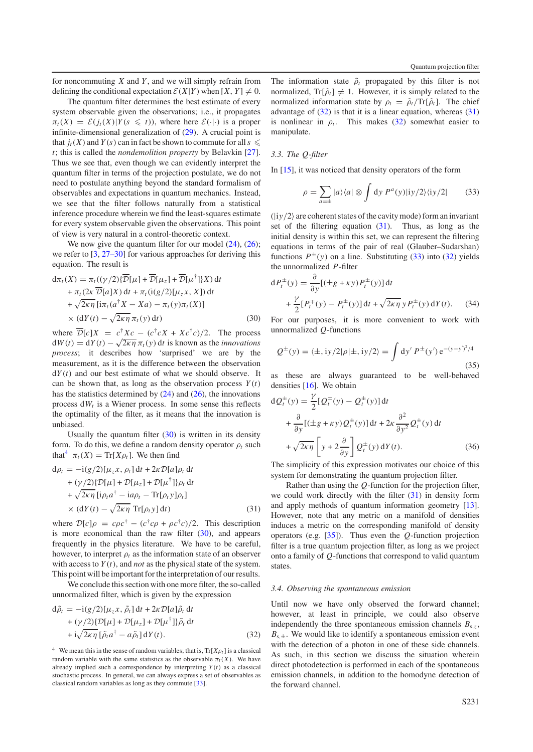for noncommuting *X* and *Y* , and we will simply refrain from defining the conditional expectation  $\mathcal{E}(X|Y)$  when  $[X, Y] \neq 0$ .

The quantum filter determines the best estimate of every system observable given the observations; i.e., it propagates  $\pi_t(X) = \mathcal{E}(j_t(X)|Y(s \leq t))$ , where here  $\mathcal{E}(\cdot|\cdot)$  is a proper infinite-dimensional generalization of [\(29\)](#page-4-5). A crucial point is that  $j_t(X)$  and  $Y(s)$  can in fact be shown to commute for all  $s \leq$ *t*; this is called the *nondemolition property* by Belavkin [\[27\]](#page-10-14). Thus we see that, even though we can evidently interpret the quantum filter in terms of the projection postulate, we do not need to postulate anything beyond the standard formalism of observables and expectations in quantum mechanics. Instead, we see that the filter follows naturally from a statistical inference procedure wherein we find the least-squares estimate for every system observable given the observations. This point of view is very natural in a control-theoretic context.

<span id="page-5-0"></span>We now give the quantum filter for our model  $(24)$ ,  $(26)$ ; we refer to [\[3,](#page-9-6) [27–30\]](#page-10-14) for various approaches for deriving this equation. The result is

$$
d\pi_t(X) = \pi_t((\gamma/2)\{\overline{\mathcal{D}}[\mu] + \overline{\mathcal{D}}[\mu_z] + \overline{\mathcal{D}}[\mu^{\dagger}]\}X) dt + \pi_t(2\kappa \overline{\mathcal{D}}[a]X) dt + \pi_t((g/2)[\mu_z x, X]) dt + \sqrt{2\kappa \eta} [\text{i}\pi_t(a^{\dagger}X - Xa) - \pi_t(y)\pi_t(X)] \times (dY(t) - \sqrt{2\kappa \eta} \pi_t(y) dt)
$$
(30)

where  $\overline{\mathcal{D}}[c]X = c^{\dagger}Xc - (c^{\dagger}cX + Xc^{\dagger}c)/2$ . The process  $dW(t) = dY(t) - \sqrt{2\kappa\eta} \pi_t(y) dt$  is known as the *innovations process*; it describes how 'surprised' we are by the measurement, as it is the difference between the observation  $dY(t)$  and our best estimate of what we should observe. It can be shown that, as long as the observation process  $Y(t)$ has the statistics determined by  $(24)$  and  $(26)$ , the innovations process  $dW_t$  is a Wiener process. In some sense this reflects the optimality of the filter, as it means that the innovation is unbiased.

<span id="page-5-3"></span>Usually the quantum filter  $(30)$  is written in its density form. To do this, we define a random density operator  $\rho_t$  such that<sup>[4](#page-5-1)</sup>  $\pi_t(X) = \text{Tr}[X \rho_t]$ . We then find

$$
d\rho_t = -i(g/2)[\mu_z x, \rho_t] dt + 2\kappa \mathcal{D}[a]\rho_t dt + (\gamma/2)\{\mathcal{D}[\mu] + \mathcal{D}[\mu_z] + \mathcal{D}[\mu^{\dagger}]\}\rho_t dt + \sqrt{2\kappa \eta} [i\rho_t a^{\dagger} - i a \rho_t - \text{Tr}[\rho_t y]\rho_t] \times (dY(t) - \sqrt{2\kappa \eta} \text{Tr}[\rho_t y] dt)
$$
(31)

where  $\mathcal{D}[c]\rho = c\rho c^{\dagger} - (c^{\dagger}c\rho + \rho c^{\dagger}c)/2$ . This description is more economical than the raw filter  $(30)$ , and appears frequently in the physics literature. We have to be careful, however, to interpret  $\rho_t$  as the information state of an observer with access to  $Y(t)$ , and *not* as the physical state of the system. This point will be important for the interpretation of our results.

<span id="page-5-2"></span><span id="page-5-1"></span>We conclude this section with one more filter, the so-called unnormalized filter, which is given by the expression

$$
d\tilde{\rho}_t = -i(g/2)[\mu_z x, \tilde{\rho}_t] dt + 2\kappa \mathcal{D}[a]\tilde{\rho}_t dt + (\gamma/2)\{\mathcal{D}[\mu] + \mathcal{D}[\mu_z] + \mathcal{D}[\mu^{\dagger}]\}\tilde{\rho}_t dt + i\sqrt{2\kappa \eta} [\tilde{\rho}_t a^{\dagger} - a\tilde{\rho}_t] dY(t).
$$
 (32)

The information state  $\tilde{\rho}_t$  propagated by this filter is not normalized,  $Tr[\tilde{\rho}_t] \neq 1$ . However, it is simply related to the normalized information state by  $\rho_t = \tilde{\rho}_t / Tr[\tilde{\rho}_t]$ . The chief advantage of  $(32)$  is that it is a linear equation, whereas  $(31)$ is nonlinear in  $\rho_t$ . This makes [\(32\)](#page-5-2) somewhat easier to manipulate.

## <span id="page-5-4"></span>*3.3. The Q-filter*

In [\[15\]](#page-10-2), it was noticed that density operators of the form

$$
\rho = \sum_{a=\pm} |a\rangle\langle a| \otimes \int \mathrm{d}y \, P^a(y) |\mathrm{i}y/2\rangle\langle \mathrm{i}y/2| \qquad (33)
$$

 $(|iy/2\rangle)$  are coherent states of the cavity mode) form an invariant set of the filtering equation [\(31\)](#page-5-3). Thus, as long as the initial density is within this set, we can represent the filtering equations in terms of the pair of real (Glauber–Sudarshan) functions  $P^{\pm}(y)$  on a line. Substituting [\(33\)](#page-5-4) into [\(32\)](#page-5-2) yields the unnormalized *P*-filter

$$
dP_t^{\pm}(y) = \frac{\partial}{\partial y} [(\pm g + \kappa y) P_t^{\pm}(y)] dt + \frac{\gamma}{2} [P_t^{\mp}(y) - P_t^{\pm}(y)] dt + \sqrt{2\kappa \eta} y P_t^{\pm}(y) dY(t).
$$
 (34)

For our purposes, it is more convenient to work with unnormalized *Q*-functions

$$
Q^{\pm}(y) = \langle \pm, iy/2 | \rho | \pm, iy/2 \rangle = \int dy' P^{\pm}(y') e^{-(y-y')^2/4}
$$
\n(35)

as these are always guaranteed to be well-behaved densities [\[16\]](#page-10-3). We obtain

<span id="page-5-5"></span>
$$
dQ_t^{\pm}(y) = \frac{\gamma}{2} [Q_t^{\mp}(y) - Q_t^{\pm}(y)] dt
$$
  
+ 
$$
\frac{\partial}{\partial y} [(\pm g + \kappa y) Q_t^{\pm}(y)] dt + 2\kappa \frac{\partial^2}{\partial y^2} Q_t^{\pm}(y) dt
$$
  
+ 
$$
\sqrt{2\kappa \eta} \left[ y + 2 \frac{\partial}{\partial y} \right] Q_t^{\pm}(y) dY(t).
$$
 (36)

The simplicity of this expression motivates our choice of this system for demonstrating the quantum projection filter.

Rather than using the *Q*-function for the projection filter, we could work directly with the filter [\(31\)](#page-5-3) in density form and apply methods of quantum information geometry [\[13\]](#page-10-0). However, note that any metric on a manifold of densities induces a metric on the corresponding manifold of density operators (e.g. [\[35\]](#page-10-19)). Thus even the *Q*-function projection filter is a true quantum projection filter, as long as we project onto a family of *Q*-functions that correspond to valid quantum states.

#### *3.4. Observing the spontaneous emission*

Until now we have only observed the forward channel; however, at least in principle, we could also observe independently the three spontaneous emission channels  $B_{s,z}$ ,  $B_{s,\pm}$ . We would like to identify a spontaneous emission event with the detection of a photon in one of these side channels. As such, in this section we discuss the situation wherein direct photodetection is performed in each of the spontaneous emission channels, in addition to the homodyne detection of the forward channel.

<sup>&</sup>lt;sup>4</sup> We mean this in the sense of random variables; that is,  $Tr[X\rho_t]$  is a classical random variable with the same statistics as the observable  $\pi_t(X)$ . We have already implied such a correspondence by interpreting  $Y(t)$  as a classical stochastic process. In general, we can always express a set of observables as classical random variables as long as they commute [\[33\]](#page-10-17).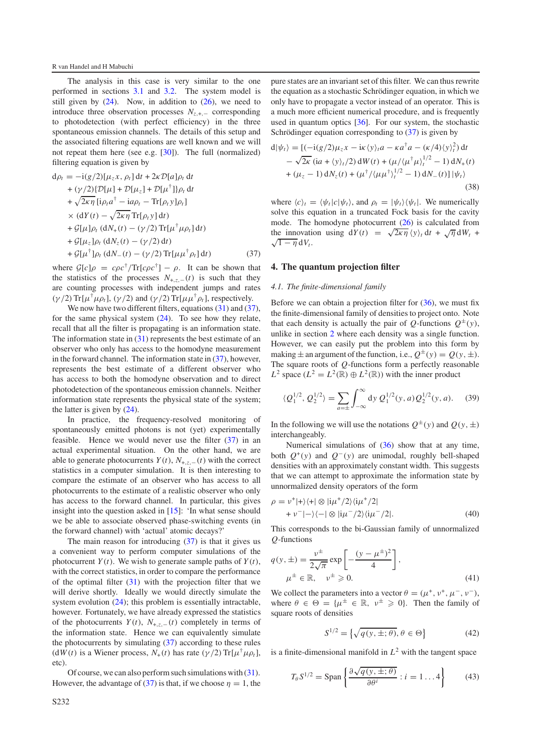#### R van Handel and H Mabuchi

The analysis in this case is very similar to the one performed in sections [3.1](#page-3-6) and [3.2.](#page-4-6) The system model is still given by  $(24)$ . Now, in addition to  $(26)$ , we need to introduce three observation processes  $N_{z, +,-}$  corresponding to photodetection (with perfect efficiency) in the three spontaneous emission channels. The details of this setup and the associated filtering equations are well known and we will not repeat them here (see e.g. [\[30\]](#page-10-20)). The full (normalized) filtering equation is given by

<span id="page-6-1"></span>
$$
d\rho_t = -i(g/2)[\mu_z x, \rho_t] dt + 2\kappa \mathcal{D}[a]\rho_t dt
$$
  
+  $(\gamma/2)\{\mathcal{D}[\mu] + \mathcal{D}[\mu_z] + \mathcal{D}[\mu^{\dagger}]\}\rho_t dt$   
+  $\sqrt{2\kappa \eta} [i\rho_t a^{\dagger} - i a \rho_t - \text{Tr}[\rho_t y]\rho_t]$   
 $\times (dY(t) - \sqrt{2\kappa \eta} \text{Tr}[\rho_t y] dt)$   
+  $\mathcal{G}[\mu]\rho_t (dN_+(t) - (\gamma/2) \text{Tr}[\mu^{\dagger} \mu \rho_t] dt)$   
+  $\mathcal{G}[\mu_z]\rho_t (dN_z(t) - (\gamma/2) dt)$   
+  $\mathcal{G}[\mu^{\dagger}]\rho_t (dN_-(t) - (\gamma/2) \text{Tr}[\mu \mu^{\dagger} \rho_t] dt)$  (37)

where  $G[c]\rho = c\rho c^{\dagger}/\text{Tr}[c\rho c^{\dagger}] - \rho$ . It can be shown that the statistics of the processes  $N_{+,z,-}(t)$  is such that they are counting processes with independent jumps and rates ( $\gamma$ /2) Tr[ $\mu^{\dagger} \mu \rho_t$ ], ( $\gamma$ /2) and ( $\gamma$ /2) Tr[ $\mu \mu^{\dagger} \rho_t$ ], respectively.

We now have two different filters, equations [\(31\)](#page-5-3) and [\(37\)](#page-6-1), for the same physical system [\(24\)](#page-4-1). To see how they relate, recall that all the filter is propagating is an information state. The information state in [\(31\)](#page-5-3) represents the best estimate of an observer who only has access to the homodyne measurement in the forward channel. The information state in [\(37\)](#page-6-1), however, represents the best estimate of a different observer who has access to both the homodyne observation and to direct photodetection of the spontaneous emission channels. Neither information state represents the physical state of the system; the latter is given by [\(24\)](#page-4-1).

In practice, the frequency-resolved monitoring of spontaneously emitted photons is not (yet) experimentally feasible. Hence we would never use the filter  $(37)$  in an actual experimental situation. On the other hand, we are able to generate photocurrents  $Y(t)$ ,  $N_{+z,-}(t)$  with the correct statistics in a computer simulation. It is then interesting to compare the estimate of an observer who has access to all photocurrents to the estimate of a realistic observer who only has access to the forward channel. In particular, this gives insight into the question asked in [\[15\]](#page-10-2): 'In what sense should we be able to associate observed phase-switching events (in the forward channel) with 'actual' atomic decays?'

The main reason for introducing  $(37)$  is that it gives us a convenient way to perform computer simulations of the photocurrent  $Y(t)$ . We wish to generate sample paths of  $Y(t)$ , with the correct statistics, in order to compare the performance of the optimal filter  $(31)$  with the projection filter that we will derive shortly. Ideally we would directly simulate the system evolution  $(24)$ ; this problem is essentially intractable, however. Fortunately, we have already expressed the statistics of the photocurrents  $Y(t)$ ,  $N_{+,z,-}(t)$  completely in terms of the information state. Hence we can equivalently simulate the photocurrents by simulating [\(37\)](#page-6-1) according to these rules (d*W*(*t*) is a Wiener process,  $N_+(t)$  has rate ( $\gamma/2$ ) Tr[ $\mu^{\dagger} \mu \rho_t$ ], etc).

Of course, we can also perform such simulations with [\(31\)](#page-5-3). However, the advantage of [\(37\)](#page-6-1) is that, if we choose  $\eta = 1$ , the

pure states are an invariant set of this filter. We can thus rewrite the equation as a stochastic Schrödinger equation, in which we only have to propagate a vector instead of an operator. This is a much more efficient numerical procedure, and is frequently used in quantum optics [\[36\]](#page-10-21). For our system, the stochastic Schrödinger equation corresponding to  $(37)$  $(37)$  is given by

<span id="page-6-2"></span>
$$
d|\psi_t\rangle = [(-i(g/2)\mu_z x - i\kappa \langle y\rangle_t a - \kappa a^{\dagger} a - (\kappa/4) \langle y\rangle_t^2) dt - \sqrt{2\kappa} (ia + \langle y\rangle_t/2) dW(t) + (\mu/\langle \mu^{\dagger} \mu \rangle_t^{1/2} - 1) dN_+(t) + (\mu_z - 1) dN_z(t) + (\mu^{\dagger}/\langle \mu \mu^{\dagger} \rangle_t^{1/2} - 1) dN_-(t)] |\psi_t\rangle
$$
\n(38)

<span id="page-6-0"></span>where  $\langle c \rangle_t = \langle \psi_t | c | \psi_t \rangle$ , and  $\rho_t = | \psi_t \rangle \langle \psi_t |$ . We numerically solve this equation in a truncated Fock basis for the cavity mode. The homodyne photocurrent [\(26\)](#page-4-2) is calculated from the innovation using  $dY(t) = \sqrt{2\kappa\eta} \langle y \rangle_t dt + \sqrt{\eta} dW_t +$  $\sqrt{1-\eta} dV_t$ .

### **4. The quantum projection filter**

## *4.1. The finite-dimensional family*

Before we can obtain a projection filter for  $(36)$ , we must fix the finite-dimensional family of densities to project onto. Note that each density is actually the pair of *Q*-functions  $Q^{\pm}(y)$ , unlike in section [2](#page-1-1) where each density was a single function. However, we can easily put the problem into this form by making  $\pm$  an argument of the function, i.e.,  $Q^{\pm}(y) = Q(y, \pm)$ . The square roots of *Q*-functions form a perfectly reasonable *L*<sup>2</sup> space ( $L^2 = L^2(\mathbb{R}) \oplus L^2(\mathbb{R})$ ) with the inner product

$$
\langle Q_1^{1/2}, Q_2^{1/2} \rangle = \sum_{a=\pm} \int_{-\infty}^{\infty} dy \ Q_1^{1/2}(y, a) Q_2^{1/2}(y, a). \tag{39}
$$

In the following we will use the notations  $Q^{\pm}(y)$  and  $Q(y, \pm)$ interchangeably.

Numerical simulations of  $(36)$  show that at any time, both  $Q^+(y)$  and  $Q^-(y)$  are unimodal, roughly bell-shaped densities with an approximately constant width. This suggests that we can attempt to approximate the information state by unnormalized density operators of the form

$$
\rho = \nu^+ |+\rangle\langle +| \otimes |i\mu^+/2\rangle\langle i\mu^+/2|
$$
  
+ 
$$
\nu^- |-\rangle\langle -| \otimes |i\mu^-/2\rangle\langle i\mu^-/2|.
$$
 (40)

This corresponds to the bi-Gaussian family of unnormalized *Q*-functions

$$
q(y, \pm) = \frac{v^{\pm}}{2\sqrt{\pi}} \exp\left[-\frac{(y - \mu^{\pm})^2}{4}\right],
$$
  

$$
\mu^{\pm} \in \mathbb{R}, \quad v^{\pm} \ge 0.
$$
 (41)

We collect the parameters into a vector  $\theta = (\mu^+, \nu^+, \mu^-, \nu^-)$ , where  $\theta \in \Theta = {\mu^{\pm} \in \mathbb{R}, \ \nu^{\pm} \geq 0}.$  Then the family of square roots of densities

$$
S^{1/2} = \left\{ \sqrt{q(y, \pm; \theta)}, \theta \in \Theta \right\}
$$
 (42)

is a finite-dimensional manifold in  $L^2$  with the tangent space

$$
T_{\theta} S^{1/2} = \text{Span}\left\{ \frac{\partial \sqrt{q(y, \pm; \theta)}}{\partial \theta^i} : i = 1...4 \right\}
$$
 (43)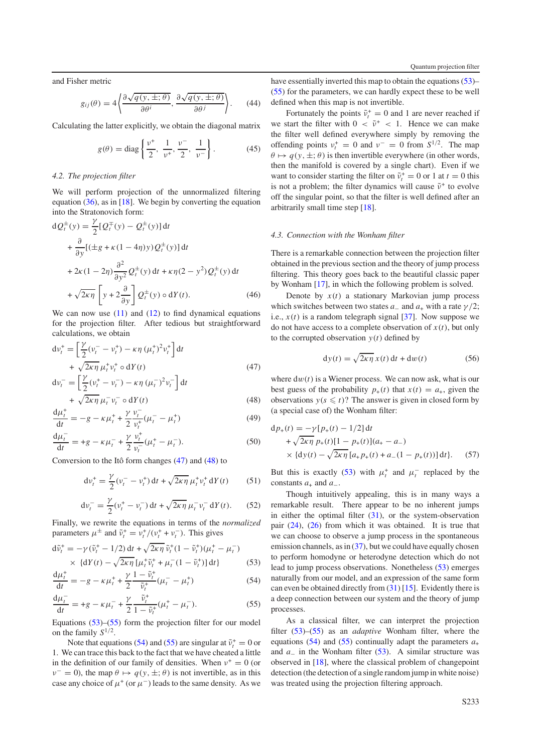and Fisher metric

$$
g_{ij}(\theta) = 4 \left\langle \frac{\partial \sqrt{q(y, \pm; \theta)}}{\partial \theta^i}, \frac{\partial \sqrt{q(y, \pm; \theta)}}{\partial \theta^j} \right\rangle. \tag{44}
$$

Calculating the latter explicitly, we obtain the diagonal matrix

$$
g(\theta) = \text{diag}\left\{\frac{v^+}{2}, \frac{1}{v^+}, \frac{v^-}{2}, \frac{1}{v^-}\right\}.
$$
 (45)

## *4.2. The projection filter*

We will perform projection of the unnormalized filtering equation [\(36\)](#page-5-5), as in [\[18\]](#page-10-5). We begin by converting the equation into the Stratonovich form:

$$
dQ_t^{\pm}(y) = \frac{\gamma}{2} [Q_t^{\mp}(y) - Q_t^{\pm}(y)] dt
$$
  
+ 
$$
\frac{\partial}{\partial y} [(\pm g + \kappa (1 - 4\eta)y) Q_t^{\pm}(y)] dt
$$
  
+ 
$$
2\kappa (1 - 2\eta) \frac{\partial^2}{\partial y^2} Q_t^{\pm}(y) dt + \kappa \eta (2 - y^2) Q_t^{\pm}(y) dt
$$
  
+ 
$$
\sqrt{2\kappa \eta} \left[ y + 2 \frac{\partial}{\partial y} \right] Q_t^{\pm}(y) \circ dY(t).
$$
 (46)

<span id="page-7-0"></span>We can now use  $(11)$  and  $(12)$  to find dynamical equations for the projection filter. After tedious but straightforward calculations, we obtain

<span id="page-7-1"></span>
$$
dv_t^+ = \left[\frac{\gamma}{2}(v_t^- - v_t^+) - \kappa \eta (\mu_t^+)^2 v_t^+\right] dt
$$
  
+  $\sqrt{2\kappa \eta} \mu_t^+ v_t^+ \circ dY(t)$   

$$
dv_t^- = \left[\frac{\gamma}{2}(v_t^+ - v_t^-) - \kappa \eta (\mu_t^-)^2 v_t^-\right] dt
$$
  
+  $\sqrt{2\kappa \eta} \mu_t^- v_t^- \circ dY(t)$  (48)

$$
\frac{d\mu_t^+}{dt} = -g - \kappa \mu_t^+ + \frac{\gamma}{2} \frac{\nu_t^-}{\nu_t^+} (\mu_t^- - \mu_t^+) \tag{49}
$$

$$
\frac{d\mu_t^-}{dt} = +g - \kappa \mu_t^- + \frac{\gamma}{2} \frac{\nu_t^+}{\nu_t^-} (\mu_t^+ - \mu_t^-). \tag{50}
$$

Conversion to the Itô form changes  $(47)$  and  $(48)$  to

$$
dv_t^+ = \frac{\gamma}{2} (v_t^- - v_t^+) dt + \sqrt{2\kappa \eta} \mu_t^+ v_t^+ dY(t) \qquad (51)
$$

<span id="page-7-4"></span><span id="page-7-3"></span><span id="page-7-2"></span>
$$
dv_t^- = \frac{\gamma}{2} (v_t^+ - v_t^-) dt + \sqrt{2\kappa \eta} \mu_t^- v_t^- dY(t).
$$
 (52)

Finally, we rewrite the equations in terms of the *normalized* parameters  $\mu^{\pm}$  and  $\tilde{\nu}_t^* = \nu_t^* / (\nu_t^* + \nu_t^-)$ . This gives

$$
d\tilde{v}_t^+ = -\gamma (\tilde{v}_t^+ - 1/2) dt + \sqrt{2\kappa \eta} \tilde{v}_t^+ (1 - \tilde{v}_t^+) (\mu_t^+ - \mu_t^-) \times \{dY(t) - \sqrt{2\kappa \eta} [\mu_t^+ \tilde{v}_t^+ + \mu_t^- (1 - \tilde{v}_t^+)] dt\}
$$
(53)

$$
\frac{d\mu_t^+}{dt} = -g - \kappa \mu_t^+ + \frac{\gamma}{2} \frac{1 - \tilde{\nu}_t^+}{\tilde{\nu}_t^+} (\mu_t^- - \mu_t^+) \tag{54}
$$

$$
\frac{d\mu_t^-}{dt} = +g - \kappa \mu_t^- + \frac{\gamma}{2} \frac{\tilde{\nu}_t^+}{1 - \tilde{\nu}_t^+} (\mu_t^+ - \mu_t^-). \tag{55}
$$

Equations [\(53\)](#page-7-2)–[\(55\)](#page-7-3) form the projection filter for our model on the family *S*<sup>1</sup>/2.

Note that equations [\(54\)](#page-7-4) and [\(55\)](#page-7-3) are singular at  $\tilde{v}_t^+ = 0$  or 1. We can trace this back to the fact that we have cheated a little in the definition of our family of densities. When  $v^+ = 0$  (or  $\nu^- = 0$ , the map  $\theta \mapsto q(y, \pm; \theta)$  is not invertible, as in this case any choice of  $\mu^+$  (or  $\mu^-$ ) leads to the same density. As we have essentially inverted this map to obtain the equations [\(53\)](#page-7-2)– [\(55\)](#page-7-3) for the parameters, we can hardly expect these to be well defined when this map is not invertible.

Fortunately the points  $\tilde{v}_t^+ = 0$  and 1 are never reached if we start the filter with  $0 < \tilde{\nu}^+ < 1$ . Hence we can make the filter well defined everywhere simply by removing the offending points  $v_t^+ = 0$  and  $v^- = 0$  from  $S^{1/2}$ . The map  $\theta \mapsto q(y, \pm; \theta)$  is then invertible everywhere (in other words, then the manifold is covered by a single chart). Even if we want to consider starting the filter on  $\tilde{v}_t^+ = 0$  or 1 at  $t = 0$  this is not a problem; the filter dynamics will cause  $\tilde{\nu}^+$  to evolve off the singular point, so that the filter is well defined after an arbitrarily small time step [\[18\]](#page-10-5).

#### *4.3. Connection with the Wonham filter*

There is a remarkable connection between the projection filter obtained in the previous section and the theory of jump process filtering. This theory goes back to the beautiful classic paper by Wonham [\[17\]](#page-10-4), in which the following problem is solved.

<span id="page-7-5"></span>Denote by  $x(t)$  a stationary Markovian jump process which switches between two states  $a_-\text{ and } a_+\text{ with a rate }\gamma/2$ ; i.e.,  $x(t)$  is a random telegraph signal  $[37]$ . Now suppose we do not have access to a complete observation of  $x(t)$ , but only to the corrupted observation  $y(t)$  defined by

$$
dy(t) = \sqrt{2\kappa \eta} x(t) dt + dw(t)
$$
 (56)

where  $dw(t)$  is a Wiener process. We can now ask, what is our best guess of the probability  $p_+(t)$  that  $x(t) = a_+$ , given the observations  $y(s \leq t)$ ? The answer is given in closed form by (a special case of) the Wonham filter:

$$
dp_{+}(t) = -\gamma [p_{+}(t) - 1/2] dt
$$
  
+  $\sqrt{2\kappa \eta} p_{+}(t)[1 - p_{+}(t)](a_{+} - a_{-})$   
 $\times \{dy(t) - \sqrt{2\kappa \eta} [a_{+}p_{+}(t) + a_{-}(1 - p_{+}(t))] dt\}.$  (57)

But this is exactly [\(53\)](#page-7-2) with  $\mu_t^+$  and  $\mu_t^-$  replaced by the constants  $a_+$  and  $a_-$ .

Though intuitively appealing, this is in many ways a remarkable result. There appear to be no inherent jumps in either the optimal filter  $(31)$ , or the system-observation pair [\(24\)](#page-4-1), [\(26\)](#page-4-2) from which it was obtained. It is true that we can choose to observe a jump process in the spontaneous emission channels, as in  $(37)$ , but we could have equally chosen to perform homodyne or heterodyne detection which do not lead to jump process observations. Nonetheless [\(53\)](#page-7-2) emerges naturally from our model, and an expression of the same form can even be obtained directly from [\(31\)](#page-5-3) [\[15\]](#page-10-2). Evidently there is a deep connection between our system and the theory of jump processes.

As a classical filter, we can interpret the projection filter [\(53\)](#page-7-2)–[\(55\)](#page-7-3) as an *adaptive* Wonham filter, where the equations [\(54\)](#page-7-4) and [\(55\)](#page-7-3) continually adapt the parameters  $a_+$ and *a*− in the Wonham filter [\(53\)](#page-7-2). A similar structure was observed in [\[18\]](#page-10-5), where the classical problem of changepoint detection (the detection of a single random jump in white noise) was treated using the projection filtering approach.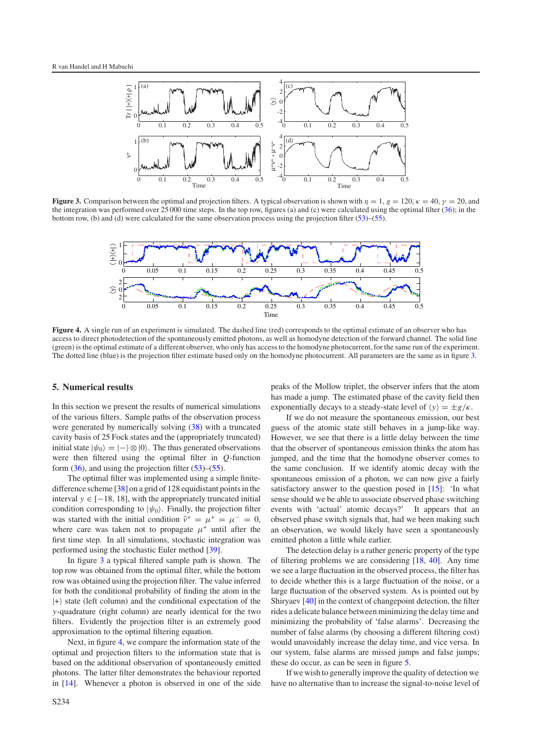<span id="page-8-1"></span>

<span id="page-8-2"></span>**Figure 3.** Comparison between the optimal and projection filters. A typical observation is shown with  $\eta = 1$ ,  $g = 120$ ,  $\kappa = 40$ ,  $\gamma = 20$ , and the integration was performed over 25 000 time steps. In the top row, figures (a) and (c) were calculated using the optimal filter [\(36\)](#page-5-5); in the bottom row, (b) and (d) were calculated for the same observation process using the projection filter [\(53\)](#page-7-2)–[\(55\)](#page-7-3).



<span id="page-8-0"></span>**Figure 4.** A single run of an experiment is simulated. The dashed line (red) corresponds to the optimal estimate of an observer who has access to direct photodetection of the spontaneously emitted photons, as well as homodyne detection of the forward channel. The solid line (green) is the optimal estimate of a different observer, who only has access to the homodyne photocurrent, for the same run of the experiment. The dotted line (blue) is the projection filter estimate based only on the homodyne photocurrent. All parameters are the same as in figure [3.](#page-8-1)

## **5. Numerical results**

In this section we present the results of numerical simulations of the various filters. Sample paths of the observation process were generated by numerically solving [\(38\)](#page-6-2) with a truncated cavity basis of 25 Fock states and the (appropriately truncated) initial state  $|\psi_0\rangle = |-\rangle \otimes |0\rangle$ . The thus generated observations were then filtered using the optimal filter in *Q*-function form  $(36)$ , and using the projection filter  $(53)$ – $(55)$ .

The optimal filter was implemented using a simple finitedifference scheme [\[38\]](#page-10-23) on a grid of 128 equidistant points in the interval  $y \in [-18, 18]$ , with the appropriately truncated initial condition corresponding to  $|\psi_0\rangle$ . Finally, the projection filter was started with the initial condition  $\tilde{\nu}^+ = \mu^+ = \mu^- = 0$ , where care was taken not to propagate  $\mu^+$  until after the first time step. In all simulations, stochastic integration was performed using the stochastic Euler method [\[39\]](#page-10-24).

In figure [3](#page-8-1) a typical filtered sample path is shown. The top row was obtained from the optimal filter, while the bottom row was obtained using the projection filter. The value inferred for both the conditional probability of finding the atom in the  $|+\rangle$  state (left column) and the conditional expectation of the *y*-quadrature (right column) are nearly identical for the two filters. Evidently the projection filter is an extremely good approximation to the optimal filtering equation.

Next, in figure [4,](#page-8-2) we compare the information state of the optimal and projection filters to the information state that is based on the additional observation of spontaneously emitted photons. The latter filter demonstrates the behaviour reported in [\[14\]](#page-10-1). Whenever a photon is observed in one of the side peaks of the Mollow triplet, the observer infers that the atom has made a jump. The estimated phase of the cavity field then exponentially decays to a steady-state level of  $\langle y \rangle = \pm g/\kappa$ .

If we do not measure the spontaneous emission, our best guess of the atomic state still behaves in a jump-like way. However, we see that there is a little delay between the time that the observer of spontaneous emission thinks the atom has jumped, and the time that the homodyne observer comes to the same conclusion. If we identify atomic decay with the spontaneous emission of a photon, we can now give a fairly satisfactory answer to the question posed in [\[15\]](#page-10-2): 'In what sense should we be able to associate observed phase switching events with 'actual' atomic decays?' It appears that an observed phase switch signals that, had we been making such an observation, we would likely have seen a spontaneously emitted photon a little while earlier.

The detection delay is a rather generic property of the type of filtering problems we are considering [\[18,](#page-10-5) [40\]](#page-10-25). Any time we see a large fluctuation in the observed process, the filter has to decide whether this is a large fluctuation of the noise, or a large fluctuation of the observed system. As is pointed out by Shiryaev [\[40\]](#page-10-25) in the context of changepoint detection, the filter rides a delicate balance between minimizing the delay time and minimizing the probability of 'false alarms'. Decreasing the number of false alarms (by choosing a different filtering cost) would unavoidably increase the delay time, and vice versa. In our system, false alarms are missed jumps and false jumps; these do occur, as can be seen in figure [5.](#page-9-9)

If we wish to generally improve the quality of detection we have no alternative than to increase the signal-to-noise level of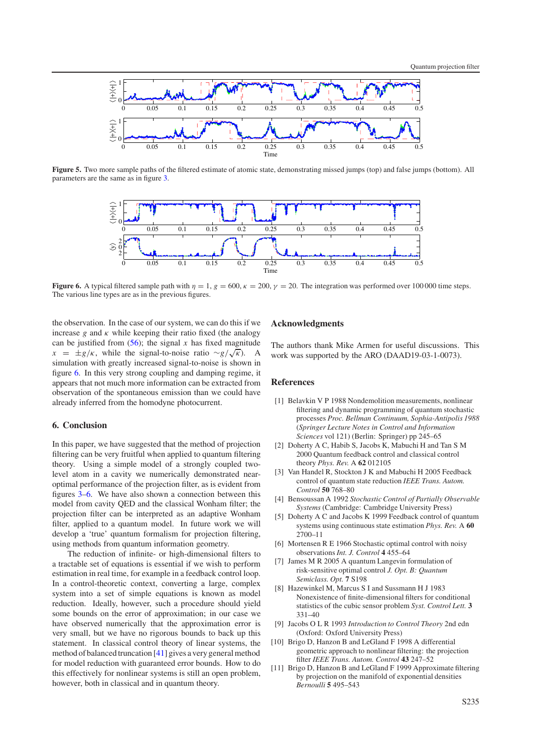<span id="page-9-9"></span>

<span id="page-9-10"></span>**Figure 5.** Two more sample paths of the filtered estimate of atomic state, demonstrating missed jumps (top) and false jumps (bottom). All parameters are the same as in figure [3.](#page-8-1)



**Figure 6.** A typical filtered sample path with  $\eta = 1$ ,  $g = 600$ ,  $\kappa = 200$ ,  $\gamma = 20$ . The integration was performed over 100 000 time steps. The various line types are as in the previous figures.

the observation. In the case of our system, we can do this if we increase  $g$  and  $\kappa$  while keeping their ratio fixed (the analogy can be justified from  $(56)$ ; the signal *x* has fixed magnitude *x* =  $\pm g/\kappa$ , while the signal-to-noise ratio ∼*g*/ $\sqrt{\kappa}$ ). A simulation with greatly increased signal-to-noise is shown in figure [6.](#page-9-10) In this very strong coupling and damping regime, it appears that not much more information can be extracted from observation of the spontaneous emission than we could have already inferred from the homodyne photocurrent.

## **6. Conclusion**

In this paper, we have suggested that the method of projection filtering can be very fruitful when applied to quantum filtering theory. Using a simple model of a strongly coupled twolevel atom in a cavity we numerically demonstrated nearoptimal performance of the projection filter, as is evident from figures [3](#page-8-1)[–6.](#page-9-10) We have also shown a connection between this model from cavity QED and the classical Wonham filter; the projection filter can be interpreted as an adaptive Wonham filter, applied to a quantum model. In future work we will develop a 'true' quantum formalism for projection filtering, using methods from quantum information geometry.

The reduction of infinite- or high-dimensional filters to a tractable set of equations is essential if we wish to perform estimation in real time, for example in a feedback control loop. In a control-theoretic context, converting a large, complex system into a set of simple equations is known as model reduction. Ideally, however, such a procedure should yield some bounds on the error of approximation; in our case we have observed numerically that the approximation error is very small, but we have no rigorous bounds to back up this statement. In classical control theory of linear systems, the method of balanced truncation [\[41\]](#page-10-26) gives a very general method for model reduction with guaranteed error bounds. How to do this effectively for nonlinear systems is still an open problem, however, both in classical and in quantum theory.

# **Acknowledgments**

<span id="page-9-0"></span>The authors thank Mike Armen for useful discussions. This work was supported by the ARO (DAAD19-03-1-0073).

## **References**

- <span id="page-9-6"></span>[1] Belavkin V P 1988 Nondemolition measurements, nonlinear filtering and dynamic programming of quantum stochastic processes *Proc. Bellman Continuum, Sophia-Antipolis 1988* (*Springer Lecture Notes in Control and Information Sciences* vol 121) (Berlin: Springer) pp 245–65
- <span id="page-9-2"></span><span id="page-9-1"></span>[2] Doherty A C, Habib S, Jacobs K, Mabuchi H and Tan S M 2000 Quantum feedback control and classical control theory *Phys. Rev.* A **62** 012105
- <span id="page-9-3"></span>[3] Van Handel R, Stockton J K and Mabuchi H 2005 Feedback control of quantum state reduction *IEEE Trans. Autom. Control* **50** 768–80
- <span id="page-9-4"></span>[4] Bensoussan A 1992 *Stochastic Control of Partially Observable Systems* (Cambridge: Cambridge University Press)
- <span id="page-9-5"></span>[5] Doherty A C and Jacobs K 1999 Feedback control of quantum systems using continuous state estimation *Phys. Rev.* A **60** 2700–11
- [6] Mortensen R E 1966 Stochastic optimal control with noisy observations*Int. J. Control* **4** 455–64
- <span id="page-9-7"></span>[7] James M R 2005 A quantum Langevin formulation of risk-sensitive optimal control *J. Opt. B: Quantum Semiclass. Opt.* **7** S198
- <span id="page-9-8"></span>[8] Hazewinkel M, Marcus S I and Sussmann H J 1983 Nonexistence of finite-dimensional filters for conditional statistics of the cubic sensor problem *Syst. Control Lett.* **3** 331–40
- [9] Jacobs O L R 1993 *Introduction to Control Theory* 2nd edn (Oxford: Oxford University Press)
- [10] Brigo D, Hanzon B and LeGland F 1998 A differential geometric approach to nonlinear filtering: the projection filter *IEEE Trans. Autom. Control* **43** 247–52
- [11] Brigo D, Hanzon B and LeGland F 1999 Approximate filtering by projection on the manifold of exponential densities *Bernoulli* **5** 495–543